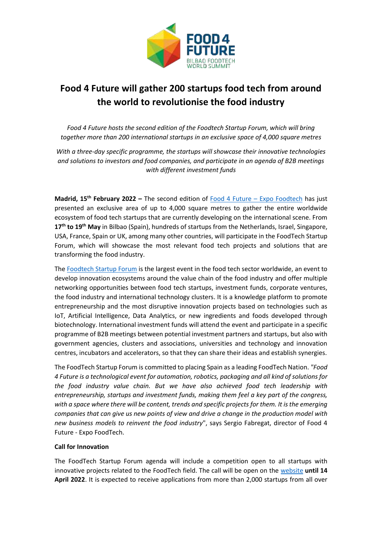

## **Food 4 Future will gather 200 startups food tech from around the world to revolutionise the food industry**

*Food 4 Future hosts the second edition of the Foodtech Startup Forum, which will bring together more than 200 international startups in an exclusive space of 4,000 square metres*

*With a three-day specific programme, the startups will showcase their innovative technologies and solutions to investors and food companies, and participate in an agenda of B2B meetings with different investment funds*

**Madrid, 15th February 2022 –** The second edition of Food 4 Future – [Expo Foodtech](https://www.expofoodtech.com/) has just presented an exclusive area of up to 4,000 square metres to gather the entire worldwide ecosystem of food tech startups that are currently developing on the international scene. From **17th to 19th May** in Bilbao (Spain), hundreds of startups from the Netherlands, Israel, Singapore, USA, France, Spain or UK, among many other countries, will participate in the FoodTech Startup Forum, which will showcase the most relevant food tech projects and solutions that are transforming the food industry.

The [Foodtech Startup Forum](file:///C:/RDaten/Projekte/bimexchange1/bimexchange1/bimpress/Food4Future/Foodtech%20Startup%20Forum) is the largest event in the food tech sector worldwide, an event to develop innovation ecosystems around the value chain of the food industry and offer multiple networking opportunities between food tech startups, investment funds, corporate ventures, the food industry and international technology clusters. It is a knowledge platform to promote entrepreneurship and the most disruptive innovation projects based on technologies such as IoT, Artificial Intelligence, Data Analytics, or new ingredients and foods developed through biotechnology. International investment funds will attend the event and participate in a specific programme of B2B meetings between potential investment partners and startups, but also with government agencies, clusters and associations, universities and technology and innovation centres, incubators and accelerators, so that they can share their ideas and establish synergies.

The FoodTech Startup Forum is committed to placing Spain as a leading FoodTech Nation. *"Food 4 Future is a technological event for automation, robotics, packaging and all kind of solutions for the food industry value chain. But we have also achieved food tech leadership with entrepreneurship, startups and investment funds, making them feel a key part of the congress, with a space where there will be content, trends and specific projects for them. It is the emerging companies that can give us new points of view and drive a change in the production model with new business models to reinvent the food industry*", says Sergio Fabregat, director of Food 4 Future - Expo FoodTech.

## **Call for Innovation**

The FoodTech Startup Forum agenda will include a competition open to all startups with innovative projects related to the FoodTech field. The call will be open on the [website](https://www.expofoodtech.com/activities/foodtech-startup-forum/) **until 14 April 2022**. It is expected to receive applications from more than 2,000 startups from all over